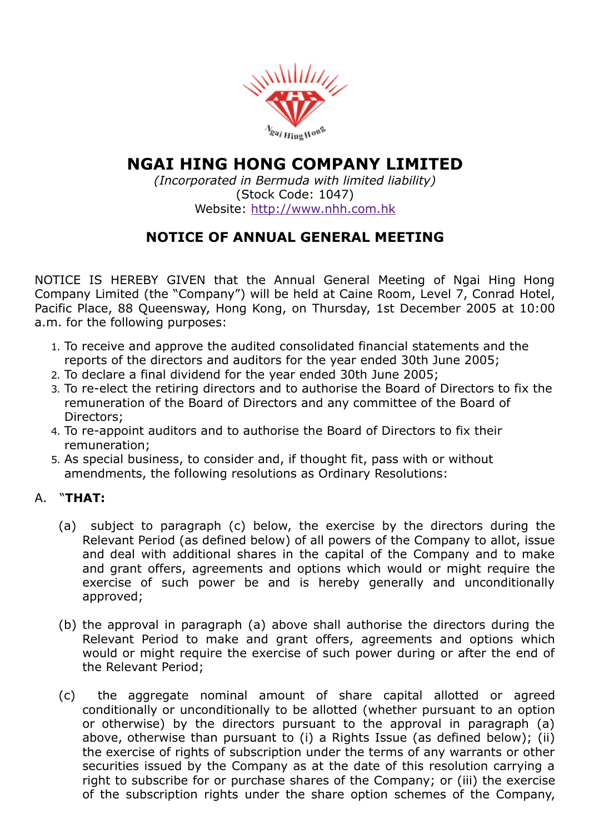

# NGAI HING HONG COMPANY LIMITED

(Incorporated in Bermuda with limited liability) (Stock Code: 1047) Website: [http://www.nhh.com.hk](http://www.nhh.com.hk/)

## NOTICE OF ANNUAL GENERAL MEETING

NOTICE IS HEREBY GIVEN that the Annual General Meeting of Ngai Hing Hong Company Limited (the "Company") will be held at Caine Room, Level 7, Conrad Hotel, Pacific Place, 88 Queensway, Hong Kong, on Thursday, 1st December 2005 at 10:00 a.m. for the following purposes:

- 1. To receive and approve the audited consolidated financial statements and the reports of the directors and auditors for the year ended 30th June 2005;
- 2. To declare a final dividend for the year ended 30th June 2005;
- 3. To re-elect the retiring directors and to authorise the Board of Directors to fix the remuneration of the Board of Directors and any committee of the Board of Directors;
- 4. To re-appoint auditors and to authorise the Board of Directors to fix their remuneration;
- 5. As special business, to consider and, if thought fit, pass with or without amendments, the following resolutions as Ordinary Resolutions:

### A. "THAT:

- (a) subject to paragraph (c) below, the exercise by the directors during the Relevant Period (as defined below) of all powers of the Company to allot, issue and deal with additional shares in the capital of the Company and to make and grant offers, agreements and options which would or might require the exercise of such power be and is hereby generally and unconditionally approved;
- (b) the approval in paragraph (a) above shall authorise the directors during the Relevant Period to make and grant offers, agreements and options which would or might require the exercise of such power during or after the end of the Relevant Period;
- (c) the aggregate nominal amount of share capital allotted or agreed conditionally or unconditionally to be allotted (whether pursuant to an option or otherwise) by the directors pursuant to the approval in paragraph (a) above, otherwise than pursuant to (i) a Rights Issue (as defined below); (ii) the exercise of rights of subscription under the terms of any warrants or other securities issued by the Company as at the date of this resolution carrying a right to subscribe for or purchase shares of the Company; or (iii) the exercise of the subscription rights under the share option schemes of the Company,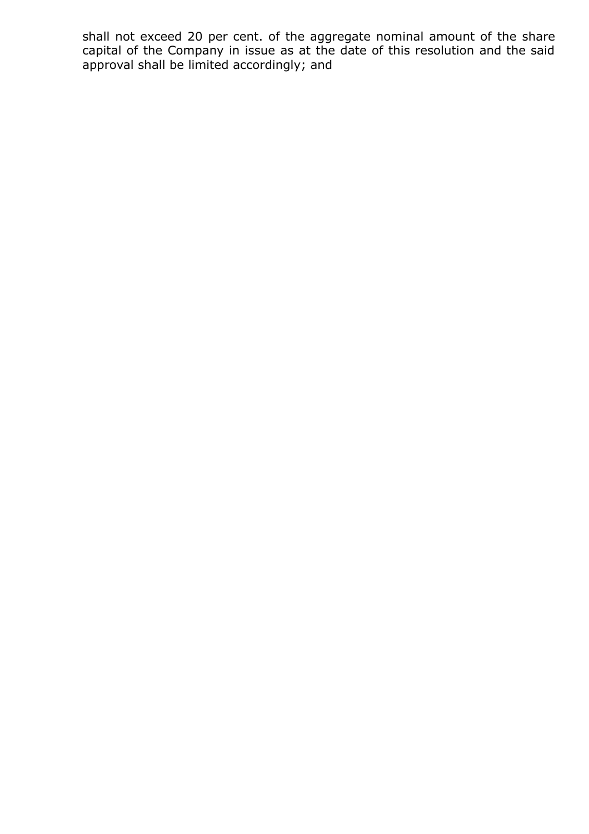shall not exceed 20 per cent. of the aggregate nominal amount of the share capital of the Company in issue as at the date of this resolution and the said approval shall be limited accordingly; and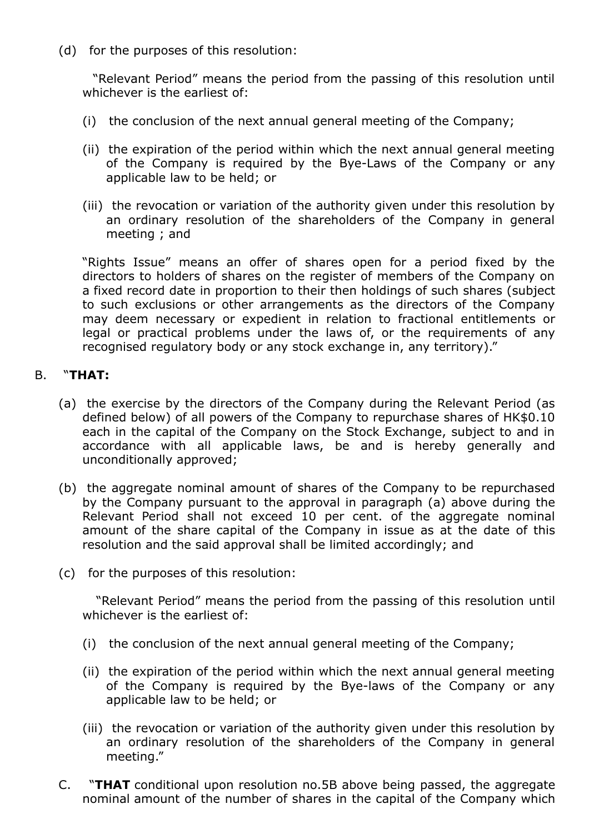(d) for the purposes of this resolution:

"Relevant Period" means the period from the passing of this resolution until whichever is the earliest of:

- (i) the conclusion of the next annual general meeting of the Company;
- (ii) the expiration of the period within which the next annual general meeting of the Company is required by the Bye-Laws of the Company or any applicable law to be held; or
- (iii) the revocation or variation of the authority given under this resolution by an ordinary resolution of the shareholders of the Company in general meeting ; and

"Rights Issue" means an offer of shares open for a period fixed by the directors to holders of shares on the register of members of the Company on a fixed record date in proportion to their then holdings of such shares (subject to such exclusions or other arrangements as the directors of the Company may deem necessary or expedient in relation to fractional entitlements or legal or practical problems under the laws of, or the requirements of any recognised regulatory body or any stock exchange in, any territory)."

#### B. "THAT:

- (a) the exercise by the directors of the Company during the Relevant Period (as defined below) of all powers of the Company to repurchase shares of HK\$0.10 each in the capital of the Company on the Stock Exchange, subject to and in accordance with all applicable laws, be and is hereby generally and unconditionally approved;
- (b) the aggregate nominal amount of shares of the Company to be repurchased by the Company pursuant to the approval in paragraph (a) above during the Relevant Period shall not exceed 10 per cent. of the aggregate nominal amount of the share capital of the Company in issue as at the date of this resolution and the said approval shall be limited accordingly; and
- (c) for the purposes of this resolution:

"Relevant Period" means the period from the passing of this resolution until whichever is the earliest of:

- (i) the conclusion of the next annual general meeting of the Company;
- (ii) the expiration of the period within which the next annual general meeting of the Company is required by the Bye-laws of the Company or any applicable law to be held; or
- (iii) the revocation or variation of the authority given under this resolution by an ordinary resolution of the shareholders of the Company in general meeting."
- C. "THAT conditional upon resolution no.5B above being passed, the aggregate nominal amount of the number of shares in the capital of the Company which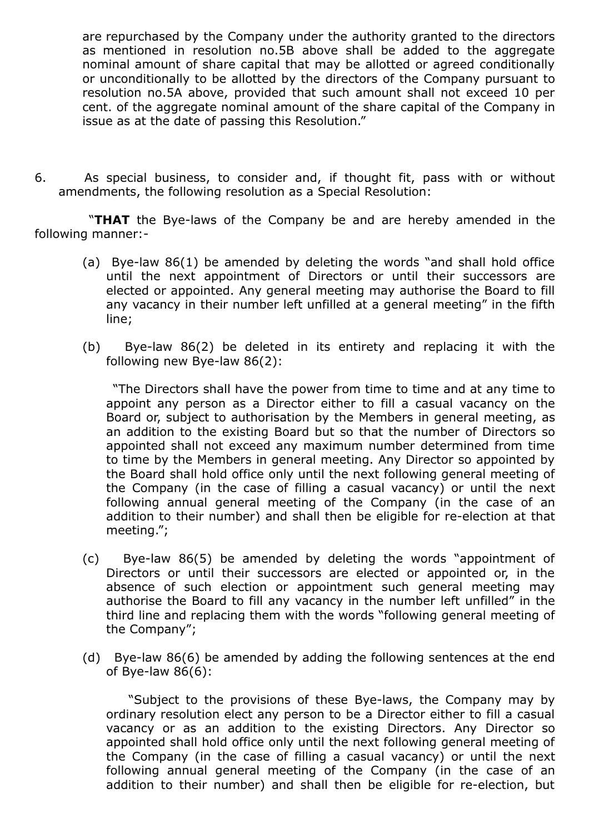are repurchased by the Company under the authority granted to the directors as mentioned in resolution no.5B above shall be added to the aggregate nominal amount of share capital that may be allotted or agreed conditionally or unconditionally to be allotted by the directors of the Company pursuant to resolution no.5A above, provided that such amount shall not exceed 10 per cent. of the aggregate nominal amount of the share capital of the Company in issue as at the date of passing this Resolution."

6. As special business, to consider and, if thought fit, pass with or without amendments, the following resolution as a Special Resolution:

"THAT the Bye-laws of the Company be and are hereby amended in the following manner:

- (a) Bye-law  $86(1)$  be amended by deleting the words "and shall hold office until the next appointment of Directors or until their successors are elected or appointed. Any general meeting may authorise the Board to fill any vacancy in their number left unfilled at a general meeting" in the fifth line;
- (b) Bye-law  $86(2)$  be deleted in its entirety and replacing it with the following new Bye-law  $86(2)$ :

"The Directors shall have the power from time to time and at any time to appoint any person as a Director either to fill a casual vacancy on the Board or, subject to authorisation by the Members in general meeting, as an addition to the existing Board but so that the number of Directors so appointed shall not exceed any maximum number determined from time to time by the Members in general meeting. Any Director so appointed by the Board shall hold office only until the next following general meeting of the Company (in the case of filling a casual vacancy) or until the next following annual general meeting of the Company (in the case of an addition to their number) and shall then be eligible for re-election at that meeting.";

- $(c)$  Bye-law 86(5) be amended by deleting the words "appointment of Directors or until their successors are elected or appointed or, in the absence of such election or appointment such general meeting may authorise the Board to fill any vacancy in the number left unfilled" in the third line and replacing them with the words "following general meeting of the Company";
- (d) Bye-law  $86(6)$  be amended by adding the following sentences at the end of Bye-law  $86(6)$ :

"Subject to the provisions of these Bye-laws, the Company may by ordinary resolution elect any person to be a Director either to fill a casual vacancy or as an addition to the existing Directors. Any Director so appointed shall hold office only until the next following general meeting of the Company (in the case of filling a casual vacancy) or until the next following annual general meeting of the Company (in the case of an addition to their number) and shall then be eligible for re-election, but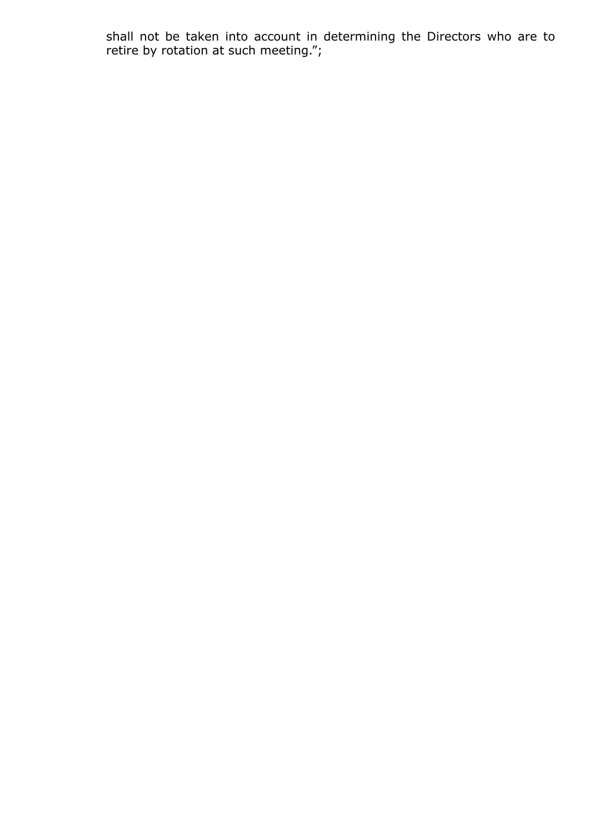shall not be taken into account in determining the Directors who are to retire by rotation at such meeting.";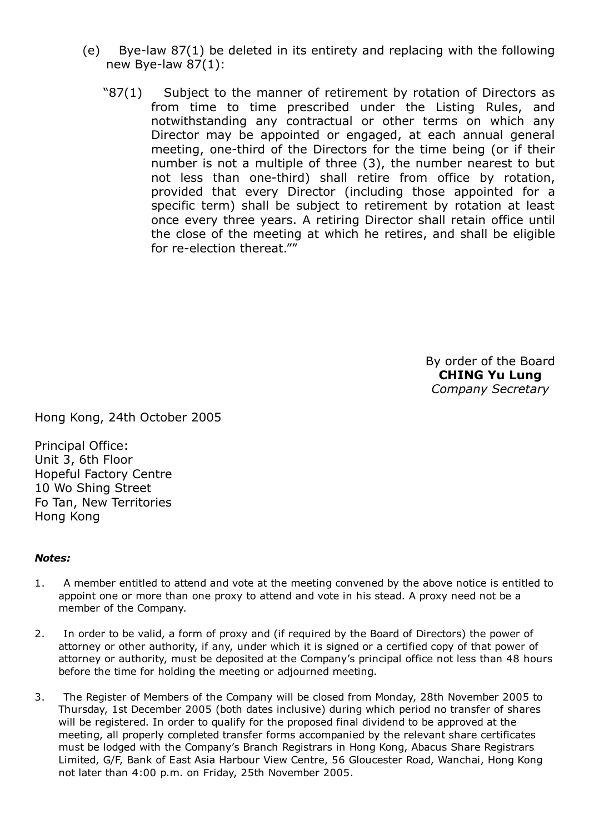- (e) Bye-law  $87(1)$  be deleted in its entirety and replacing with the following new Bye-law  $87(1)$ :
	- "87(1) Subject to the manner of retirement by rotation of Directors as from time to time prescribed under the Listing Rules, and notwithstanding any contractual or other terms on which any Director may be appointed or engaged, at each annual general meeting, one-third of the Directors for the time being (or if their number is not a multiple of three (3), the number nearest to but not less than one-third) shall retire from office by rotation, provided that every Director (including those appointed for a specific term) shall be subject to retirement by rotation at least once every three years. A retiring Director shall retain office until the close of the meeting at which he retires, and shall be eligible for re-election thereat.""

By order of the Board CHING Yu Lung Company Secretary

Hong Kong, 24th October 2005

Principal Office: Unit 3, 6th Floor Hopeful Factory Centre 10 Wo Shing Street Fo Tan, New Territories Hong Kong

#### Notes:

- 1. A member entitled to attend and vote at the meeting convened by the above notice is entitled to appoint one or more than one proxy to attend and vote in his stead. A proxy need not be a member of the Company.
- 2. In order to be valid, a form of proxy and (if required by the Board of Directors) the power of attorney or other authority, if any, under which it is signed or a certified copy of that power of attorney or authority, must be deposited at the Company's principal office not less than 48 hours before the time for holding the meeting or adjourned meeting.
- 3. The Register of Members of the Company will be closed from Monday, 28th November 2005 to Thursday, 1st December 2005 (both dates inclusive) during which period no transfer of shares will be registered. In order to qualify for the proposed final dividend to be approved at the meeting, all properly completed transfer forms accompanied by the relevant share certificates must be lodged with the Company's Branch Registrars in Hong Kong, Abacus Share Registrars Limited, G/F, Bank of East Asia Harbour View Centre, 56 Gloucester Road, Wanchai, Hong Kong not later than 4:00 p.m. on Friday, 25th November 2005.